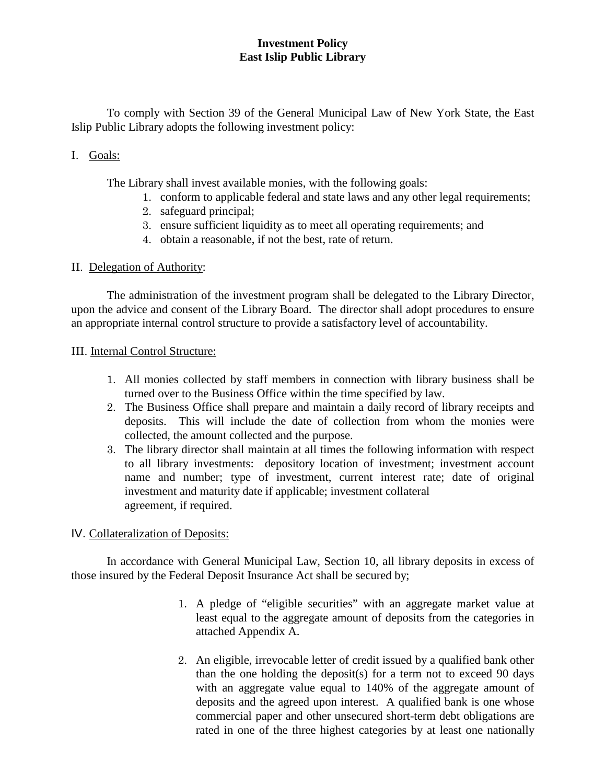# **Investment Policy East Islip Public Library**

To comply with Section 39 of the General Municipal Law of New York State, the East Islip Public Library adopts the following investment policy:

# I. Goals:

The Library shall invest available monies, with the following goals:

- 1. conform to applicable federal and state laws and any other legal requirements;
- 2. safeguard principal;
- 3. ensure sufficient liquidity as to meet all operating requirements; and
- 4. obtain a reasonable, if not the best, rate of return.

# II. Delegation of Authority:

The administration of the investment program shall be delegated to the Library Director, upon the advice and consent of the Library Board. The director shall adopt procedures to ensure an appropriate internal control structure to provide a satisfactory level of accountability.

### III. Internal Control Structure:

- 1. All monies collected by staff members in connection with library business shall be turned over to the Business Office within the time specified by law.
- 2. The Business Office shall prepare and maintain a daily record of library receipts and deposits. This will include the date of collection from whom the monies were collected, the amount collected and the purpose.
- 3. The library director shall maintain at all times the following information with respect to all library investments: depository location of investment; investment account name and number; type of investment, current interest rate; date of original investment and maturity date if applicable; investment collateral agreement, if required.

# IV. Collateralization of Deposits:

In accordance with General Municipal Law, Section 10, all library deposits in excess of those insured by the Federal Deposit Insurance Act shall be secured by;

- 1. A pledge of "eligible securities" with an aggregate market value at least equal to the aggregate amount of deposits from the categories in attached Appendix A.
- 2. An eligible, irrevocable letter of credit issued by a qualified bank other than the one holding the deposit(s) for a term not to exceed 90 days with an aggregate value equal to 140% of the aggregate amount of deposits and the agreed upon interest. A qualified bank is one whose commercial paper and other unsecured short-term debt obligations are rated in one of the three highest categories by at least one nationally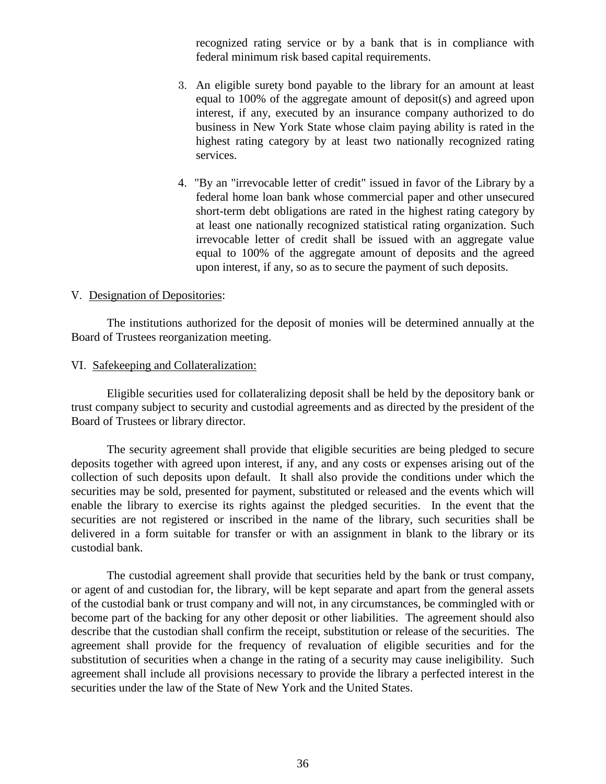recognized rating service or by a bank that is in compliance with federal minimum risk based capital requirements.

- 3. An eligible surety bond payable to the library for an amount at least equal to 100% of the aggregate amount of deposit(s) and agreed upon interest, if any, executed by an insurance company authorized to do business in New York State whose claim paying ability is rated in the highest rating category by at least two nationally recognized rating services.
- 4. "By an "irrevocable letter of credit" issued in favor of the Library by a federal home loan bank whose commercial paper and other unsecured short-term debt obligations are rated in the highest rating category by at least one nationally recognized statistical rating organization. Such irrevocable letter of credit shall be issued with an aggregate value equal to 100% of the aggregate amount of deposits and the agreed upon interest, if any, so as to secure the payment of such deposits.

### V. Designation of Depositories:

The institutions authorized for the deposit of monies will be determined annually at the Board of Trustees reorganization meeting.

#### VI. Safekeeping and Collateralization:

Eligible securities used for collateralizing deposit shall be held by the depository bank or trust company subject to security and custodial agreements and as directed by the president of the Board of Trustees or library director.

The security agreement shall provide that eligible securities are being pledged to secure deposits together with agreed upon interest, if any, and any costs or expenses arising out of the collection of such deposits upon default. It shall also provide the conditions under which the securities may be sold, presented for payment, substituted or released and the events which will enable the library to exercise its rights against the pledged securities. In the event that the securities are not registered or inscribed in the name of the library, such securities shall be delivered in a form suitable for transfer or with an assignment in blank to the library or its custodial bank.

The custodial agreement shall provide that securities held by the bank or trust company, or agent of and custodian for, the library, will be kept separate and apart from the general assets of the custodial bank or trust company and will not, in any circumstances, be commingled with or become part of the backing for any other deposit or other liabilities. The agreement should also describe that the custodian shall confirm the receipt, substitution or release of the securities. The agreement shall provide for the frequency of revaluation of eligible securities and for the substitution of securities when a change in the rating of a security may cause ineligibility. Such agreement shall include all provisions necessary to provide the library a perfected interest in the securities under the law of the State of New York and the United States.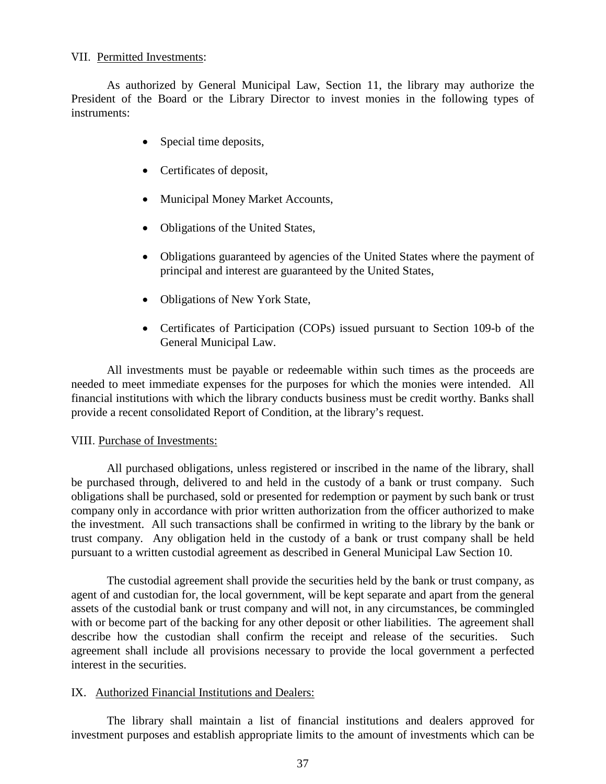### VII. Permitted Investments:

As authorized by General Municipal Law, Section 11, the library may authorize the President of the Board or the Library Director to invest monies in the following types of instruments:

- Special time deposits,
- Certificates of deposit,
- Municipal Money Market Accounts,
- Obligations of the United States,
- Obligations guaranteed by agencies of the United States where the payment of principal and interest are guaranteed by the United States,
- Obligations of New York State,
- Certificates of Participation (COPs) issued pursuant to Section 109-b of the General Municipal Law.

All investments must be payable or redeemable within such times as the proceeds are needed to meet immediate expenses for the purposes for which the monies were intended. All financial institutions with which the library conducts business must be credit worthy. Banks shall provide a recent consolidated Report of Condition, at the library's request.

#### VIII. Purchase of Investments:

All purchased obligations, unless registered or inscribed in the name of the library, shall be purchased through, delivered to and held in the custody of a bank or trust company. Such obligations shall be purchased, sold or presented for redemption or payment by such bank or trust company only in accordance with prior written authorization from the officer authorized to make the investment. All such transactions shall be confirmed in writing to the library by the bank or trust company. Any obligation held in the custody of a bank or trust company shall be held pursuant to a written custodial agreement as described in General Municipal Law Section 10.

The custodial agreement shall provide the securities held by the bank or trust company, as agent of and custodian for, the local government, will be kept separate and apart from the general assets of the custodial bank or trust company and will not, in any circumstances, be commingled with or become part of the backing for any other deposit or other liabilities. The agreement shall describe how the custodian shall confirm the receipt and release of the securities. Such agreement shall include all provisions necessary to provide the local government a perfected interest in the securities.

#### IX. Authorized Financial Institutions and Dealers:

The library shall maintain a list of financial institutions and dealers approved for investment purposes and establish appropriate limits to the amount of investments which can be